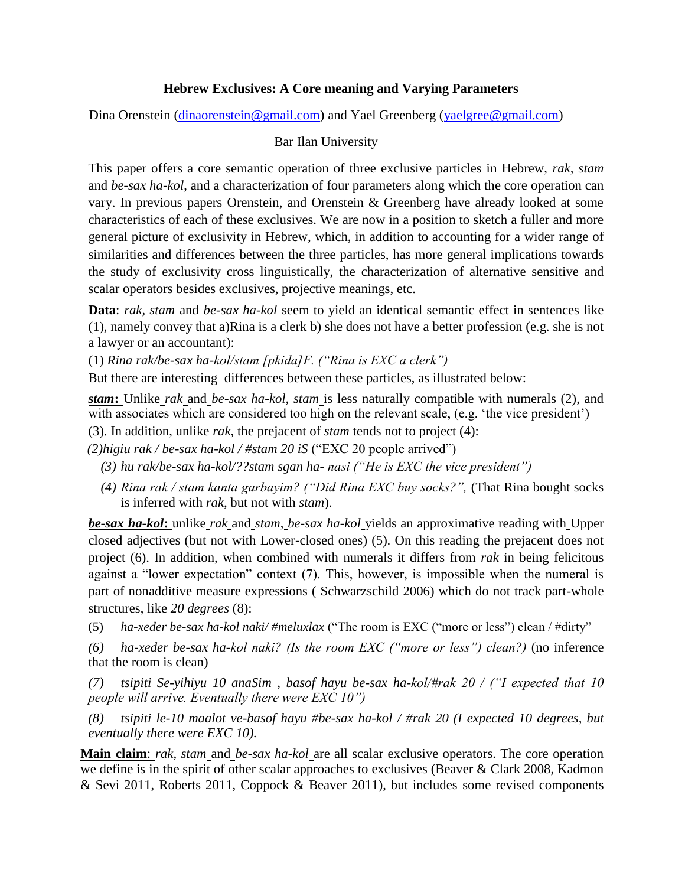## **Hebrew Exclusives: A Core meaning and Varying Parameters**

Dina Orenstein [\(dinaorenstein@gmail.com\)](mailto:dinaorenstein@gmail.com) and Yael Greenberg [\(yaelgree@gmail.com\)](mailto:yaelgree@gmail.com)

## Bar Ilan University

This paper offers a core semantic operation of three exclusive particles in Hebrew, *rak, stam* and *be-sax ha-kol*, and a characterization of four parameters along which the core operation can vary. In previous papers Orenstein, and Orenstein & Greenberg have already looked at some characteristics of each of these exclusives. We are now in a position to sketch a fuller and more general picture of exclusivity in Hebrew, which, in addition to accounting for a wider range of similarities and differences between the three particles, has more general implications towards the study of exclusivity cross linguistically, the characterization of alternative sensitive and scalar operators besides exclusives, projective meanings, etc.

**Data**: *rak, stam* and *be-sax ha-kol* seem to yield an identical semantic effect in sentences like (1), namely convey that a)Rina is a clerk b) she does not have a better profession (e.g. she is not a lawyer or an accountant):

(1) *Rina rak/be-sax ha-kol/stam [pkida]F. ("Rina is EXC a clerk")*

But there are interesting differences between these particles, as illustrated below:

*stam***:** Unlike *rak* and *be-sax ha-kol, stam* is less naturally compatible with numerals (2), and with associates which are considered too high on the relevant scale, (e.g. 'the vice president')

(3). In addition, unlike *rak,* the prejacent of *stam* tends not to project (4):

 *(2)higiu rak / be-sax ha-kol / #stam 20 iS* ("EXC 20 people arrived")

- *(3) hu rak/be-sax ha-kol/??stam sgan ha- nasi ("He is EXC the vice president")*
- *(4) Rina rak / stam kanta garbayim? ("Did Rina EXC buy socks?",* (That Rina bought socks is inferred with *rak*, but not with *stam*).

*be-sax ha-kol***:** unlike *rak* and *stam*, *be-sax ha-kol* yields an approximative reading with Upper closed adjectives (but not with Lower-closed ones) (5). On this reading the prejacent does not project (6). In addition, when combined with numerals it differs from *rak* in being felicitous against a "lower expectation" context (7). This, however, is impossible when the numeral is part of nonadditive measure expressions ( Schwarzschild 2006) which do not track part-whole structures, like *20 degrees* (8):

(5) *ha-xeder be-sax ha-kol naki/ #meluxlax* ("The room is EXC ("more or less") clean / #dirty"

*(6) ha-xeder be-sax ha-kol naki? (Is the room EXC ("more or less") clean?)* (no inference that the room is clean)

*(7) tsipiti Se-yihiyu 10 anaSim , basof hayu be-sax ha-kol/#rak 20 / ("I expected that 10 people will arrive. Eventually there were EXC 10")* 

*(8) tsipiti le-10 maalot ve-basof hayu #be-sax ha-kol / #rak 20 (I expected 10 degrees, but eventually there were EXC 10).* 

**Main claim**: *rak, stam* and *be-sax ha-kol* are all scalar exclusive operators. The core operation we define is in the spirit of other scalar approaches to exclusives (Beaver & Clark 2008, Kadmon & Sevi 2011, Roberts 2011, Coppock & Beaver 2011), but includes some revised components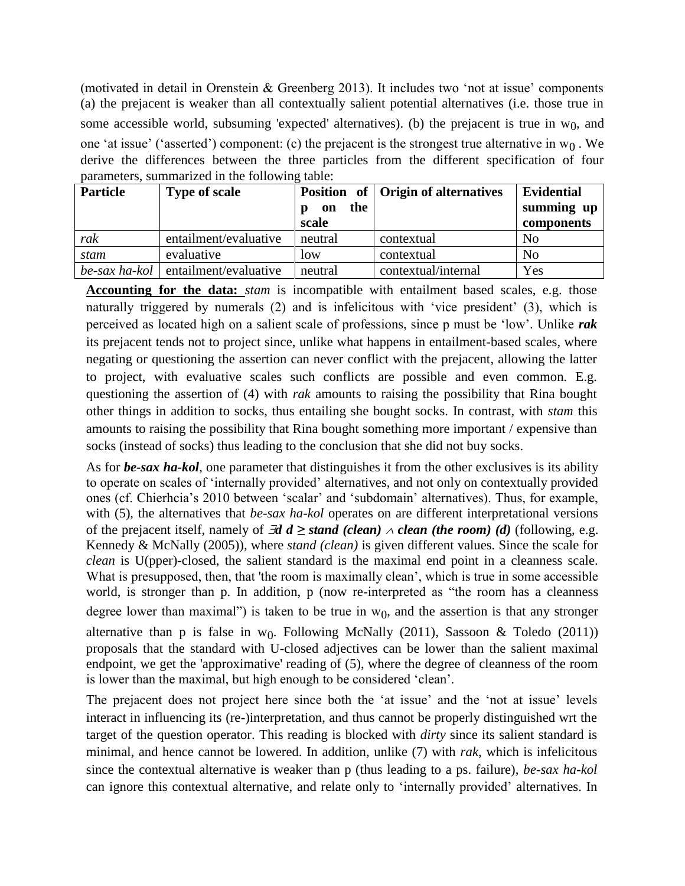(motivated in detail in Orenstein & Greenberg 2013). It includes two "not at issue" components (a) the prejacent is weaker than all contextually salient potential alternatives (i.e. those true in some accessible world, subsuming 'expected' alternatives). (b) the prejacent is true in  $w_0$ , and one 'at issue' ('asserted') component: (c) the prejacent is the strongest true alternative in  $w_0$ . We derive the differences between the three particles from the different specification of four parameters, summarized in the following table:

| <b>Particle</b>  | <b>Type of scale</b>  | the<br>on<br>р<br>scale | Position of Origin of alternatives | <b>Evidential</b><br>summing up<br>components |
|------------------|-----------------------|-------------------------|------------------------------------|-----------------------------------------------|
| rak              | entailment/evaluative | neutral                 | contextual                         | N <sub>0</sub>                                |
| stam             | evaluative            | low                     | contextual                         | N <sub>o</sub>                                |
| $be$ -sax ha-kol | entailment/evaluative | neutral                 | contextual/internal                | Yes                                           |

**Accounting for the data:** *stam* is incompatible with entailment based scales, e.g. those naturally triggered by numerals (2) and is infelicitous with "vice president" (3), which is perceived as located high on a salient scale of professions, since p must be "low". Unlike *rak* its prejacent tends not to project since, unlike what happens in entailment-based scales, where negating or questioning the assertion can never conflict with the prejacent, allowing the latter to project, with evaluative scales such conflicts are possible and even common. E.g. questioning the assertion of (4) with *rak* amounts to raising the possibility that Rina bought other things in addition to socks, thus entailing she bought socks. In contrast, with *stam* this amounts to raising the possibility that Rina bought something more important / expensive than socks (instead of socks) thus leading to the conclusion that she did not buy socks.

As for *be-sax ha-kol*, one parameter that distinguishes it from the other exclusives is its ability to operate on scales of "internally provided" alternatives, and not only on contextually provided ones (cf. Chierhcia"s 2010 between "scalar" and "subdomain" alternatives). Thus, for example, with (5), the alternatives that *be-sax ha-kol* operates on are different interpretational versions of the prejacent itself, namely of  $\exists d \ d \geq$  *stand (clean)*  $\land$  *clean (the room)* (*d*) (following, e.g. Kennedy & McNally (2005))*,* where *stand (clean)* is given different values. Since the scale for *clean* is U(pper)-closed, the salient standard is the maximal end point in a cleanness scale. What is presupposed, then, that 'the room is maximally clean', which is true in some accessible world, is stronger than p. In addition, p (now re-interpreted as "the room has a cleanness") degree lower than maximal") is taken to be true in  $w<sub>0</sub>$ , and the assertion is that any stronger alternative than p is false in  $w_0$ . Following McNally (2011), Sassoon & Toledo (2011)) proposals that the standard with U-closed adjectives can be lower than the salient maximal endpoint, we get the 'approximative' reading of (5), where the degree of cleanness of the room is lower than the maximal, but high enough to be considered "clean".

The prejacent does not project here since both the 'at issue' and the 'not at issue' levels interact in influencing its (re-)interpretation, and thus cannot be properly distinguished wrt the target of the question operator. This reading is blocked with *dirty* since its salient standard is minimal, and hence cannot be lowered. In addition, unlike (7) with *rak*, which is infelicitous since the contextual alternative is weaker than p (thus leading to a ps. failure), *be-sax ha-kol*  can ignore this contextual alternative, and relate only to "internally provided" alternatives. In